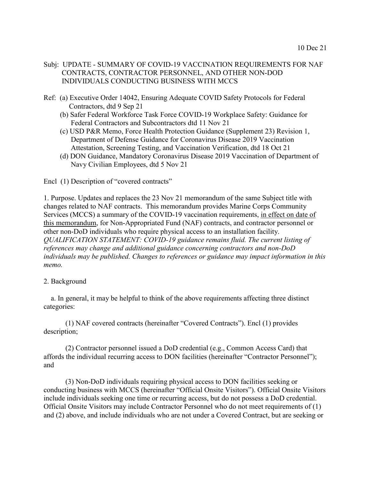- Ref: (a) Executive Order 14042, Ensuring Adequate COVID Safety Protocols for Federal Contractors, dtd 9 Sep 21
	- (b) Safer Federal Workforce Task Force COVID-19 Workplace Safety: Guidance for Federal Contractors and Subcontractors dtd 11 Nov 21
	- (c) USD P&R Memo, Force Health Protection Guidance (Supplement 23) Revision 1, Department of Defense Guidance for Coronavirus Disease 2019 Vaccination Attestation, Screening Testing, and Vaccination Verification, dtd 18 Oct 21
	- (d) DON Guidance, Mandatory Coronavirus Disease 2019 Vaccination of Department of Navy Civilian Employees, dtd 5 Nov 21

Encl (1) Description of "covered contracts"

1. Purpose. Updates and replaces the 23 Nov 21 memorandum of the same Subject title with changes related to NAF contracts. This memorandum provides Marine Corps Community Services (MCCS) a summary of the COVID-19 vaccination requirements, in effect on date of this memorandum, for Non-Appropriated Fund (NAF) contracts, and contractor personnel or other non-DoD individuals who require physical access to an installation facility. *QUALIFICATION STATEMENT: COVID-19 guidance remains fluid. The current listing of references may change and additional guidance concerning contractors and non-DoD individuals may be published. Changes to references or guidance may impact information in this memo.* 

#### 2. Background

 a. In general, it may be helpful to think of the above requirements affecting three distinct categories:

(1) NAF covered contracts (hereinafter "Covered Contracts"). Encl (1) provides description;

(2) Contractor personnel issued a DoD credential (e.g., Common Access Card) that affords the individual recurring access to DON facilities (hereinafter "Contractor Personnel"); and

(3) Non-DoD individuals requiring physical access to DON facilities seeking or conducting business with MCCS (hereinafter "Official Onsite Visitors"). Official Onsite Visitors include individuals seeking one time or recurring access, but do not possess a DoD credential. Official Onsite Visitors may include Contractor Personnel who do not meet requirements of (1) and (2) above, and include individuals who are not under a Covered Contract, but are seeking or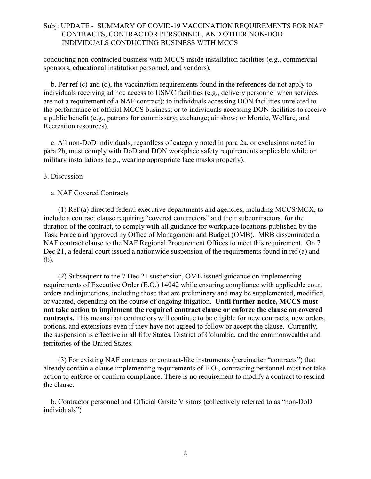conducting non-contracted business with MCCS inside installation facilities (e.g., commercial sponsors, educational institution personnel, and vendors).

 b. Per ref (c) and (d), the vaccination requirements found in the references do not apply to individuals receiving ad hoc access to USMC facilities (e.g., delivery personnel when services are not a requirement of a NAF contract); to individuals accessing DON facilities unrelated to the performance of official MCCS business; or to individuals accessing DON facilities to receive a public benefit (e.g., patrons for commissary; exchange; air show; or Morale, Welfare, and Recreation resources).

 c. All non-DoD individuals, regardless of category noted in para 2a, or exclusions noted in para 2b, must comply with DoD and DON workplace safety requirements applicable while on military installations (e.g., wearing appropriate face masks properly).

#### 3. Discussion

#### a. NAF Covered Contracts

 (1) Ref (a) directed federal executive departments and agencies, including MCCS/MCX, to include a contract clause requiring "covered contractors" and their subcontractors, for the duration of the contract, to comply with all guidance for workplace locations published by the Task Force and approved by Office of Management and Budget (OMB). MRB disseminated a NAF contract clause to the NAF Regional Procurement Offices to meet this requirement. On 7 Dec 21, a federal court issued a nationwide suspension of the requirements found in ref (a) and (b).

 (2) Subsequent to the 7 Dec 21 suspension, OMB issued guidance on implementing requirements of Executive Order (E.O.) 14042 while ensuring compliance with applicable court orders and injunctions, including those that are preliminary and may be supplemented, modified, or vacated, depending on the course of ongoing litigation. **Until further notice, MCCS must not take action to implement the required contract clause or enforce the clause on covered contracts.** This means that contractors will continue to be eligible for new contracts, new orders, options, and extensions even if they have not agreed to follow or accept the clause. Currently, the suspension is effective in all fifty States, District of Columbia, and the commonwealths and territories of the United States.

 (3) For existing NAF contracts or contract-like instruments (hereinafter "contracts") that already contain a clause implementing requirements of E.O., contracting personnel must not take action to enforce or confirm compliance. There is no requirement to modify a contract to rescind the clause.

 b. Contractor personnel and Official Onsite Visitors (collectively referred to as "non-DoD individuals")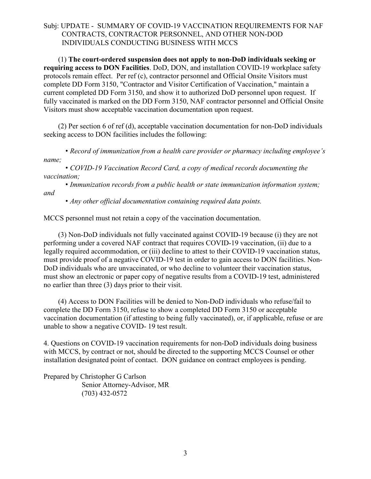(1) **The court-ordered suspension does not apply to non-DoD individuals seeking or requiring access to DON Facilities**. DoD, DON, and installation COVID-19 workplace safety protocols remain effect. Per ref (c), contractor personnel and Official Onsite Visitors must complete DD Form 3150, "Contractor and Visitor Certification of Vaccination," maintain a current completed DD Form 3150, and show it to authorized DoD personnel upon request. If fully vaccinated is marked on the DD Form 3150, NAF contractor personnel and Official Onsite Visitors must show acceptable vaccination documentation upon request.

 (2) Per section 6 of ref (d), acceptable vaccination documentation for non-DoD individuals seeking access to DON facilities includes the following:

*• Record of immunization from a health care provider or pharmacy including employee's name;*

*• COVID-19 Vaccination Record Card, a copy of medical records documenting the vaccination;*

*• Immunization records from a public health or state immunization information system; and*

*• Any other official documentation containing required data points.*

MCCS personnel must not retain a copy of the vaccination documentation.

 (3) Non-DoD individuals not fully vaccinated against COVID-19 because (i) they are not performing under a covered NAF contract that requires COVID-19 vaccination, (ii) due to a legally required accommodation, or (iii) decline to attest to their COVID-19 vaccination status, must provide proof of a negative COVID-19 test in order to gain access to DON facilities. Non-DoD individuals who are unvaccinated, or who decline to volunteer their vaccination status, must show an electronic or paper copy of negative results from a COVID-19 test, administered no earlier than three (3) days prior to their visit.

 (4) Access to DON Facilities will be denied to Non-DoD individuals who refuse/fail to complete the DD Form 3150, refuse to show a completed DD Form 3150 or acceptable vaccination documentation (if attesting to being fully vaccinated), or, if applicable, refuse or are unable to show a negative COVID- 19 test result.

4. Questions on COVID-19 vaccination requirements for non-DoD individuals doing business with MCCS, by contract or not, should be directed to the supporting MCCS Counsel or other installation designated point of contact. DON guidance on contract employees is pending.

Prepared by Christopher G Carlson Senior Attorney-Advisor, MR (703) 432-0572